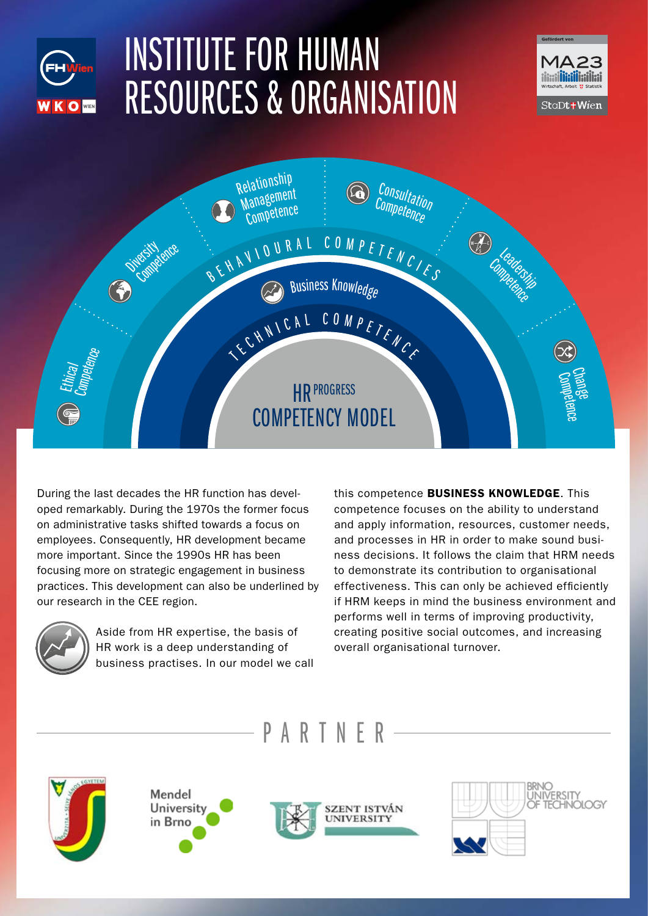## INSTITUTE FOR HUMAN RESOURCES & ORGANISATION





During the last decades the HR function has developed remarkably. During the 1970s the former focus on administrative tasks shifted towards a focus on employees. Consequently, HR development became more important. Since the 1990s HR has been focusing more on strategic engagement in business practices. This development can also be underlined by our research in the CEE region.



WKOW

Aside from HR expertise, the basis of HR work is a deep understanding of business practises. In our model we call this competence BUSINESS KNOWLEDGE. This competence focuses on the ability to understand and apply information, resources, customer needs, and processes in HR in order to make sound business decisions. It follows the claim that HRM needs to demonstrate its contribution to organisational effectiveness. This can only be achieved efficiently if HRM keeps in mind the business environment and performs well in terms of improving productivity, creating positive social outcomes, and increasing overall organisational turnover.







PARTNER